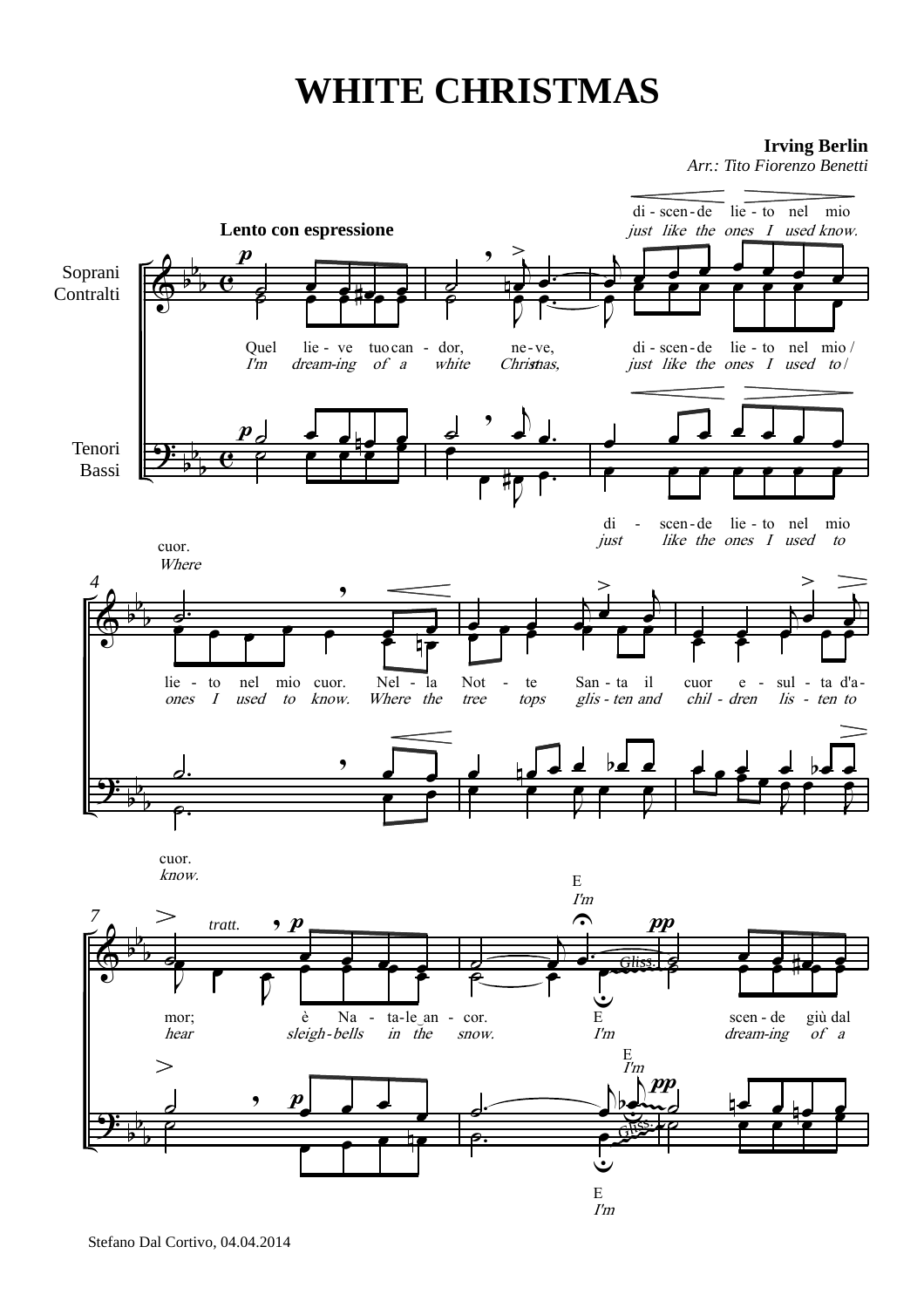## **WHITE CHRISTMAS**

**Irving Berlin** 

Arr.: Tito Fiorenzo Benetti

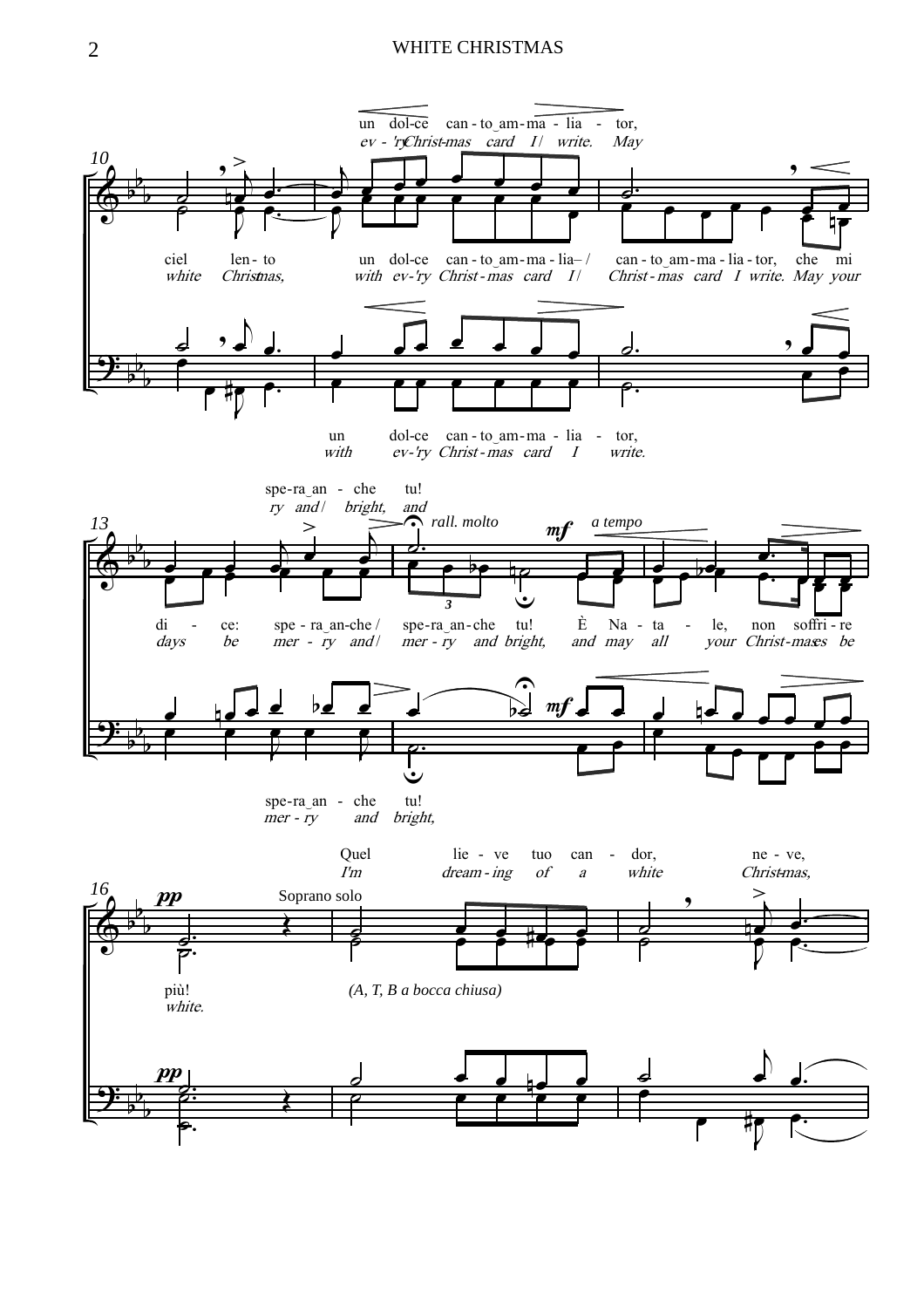## WHITE CHRISTMAS

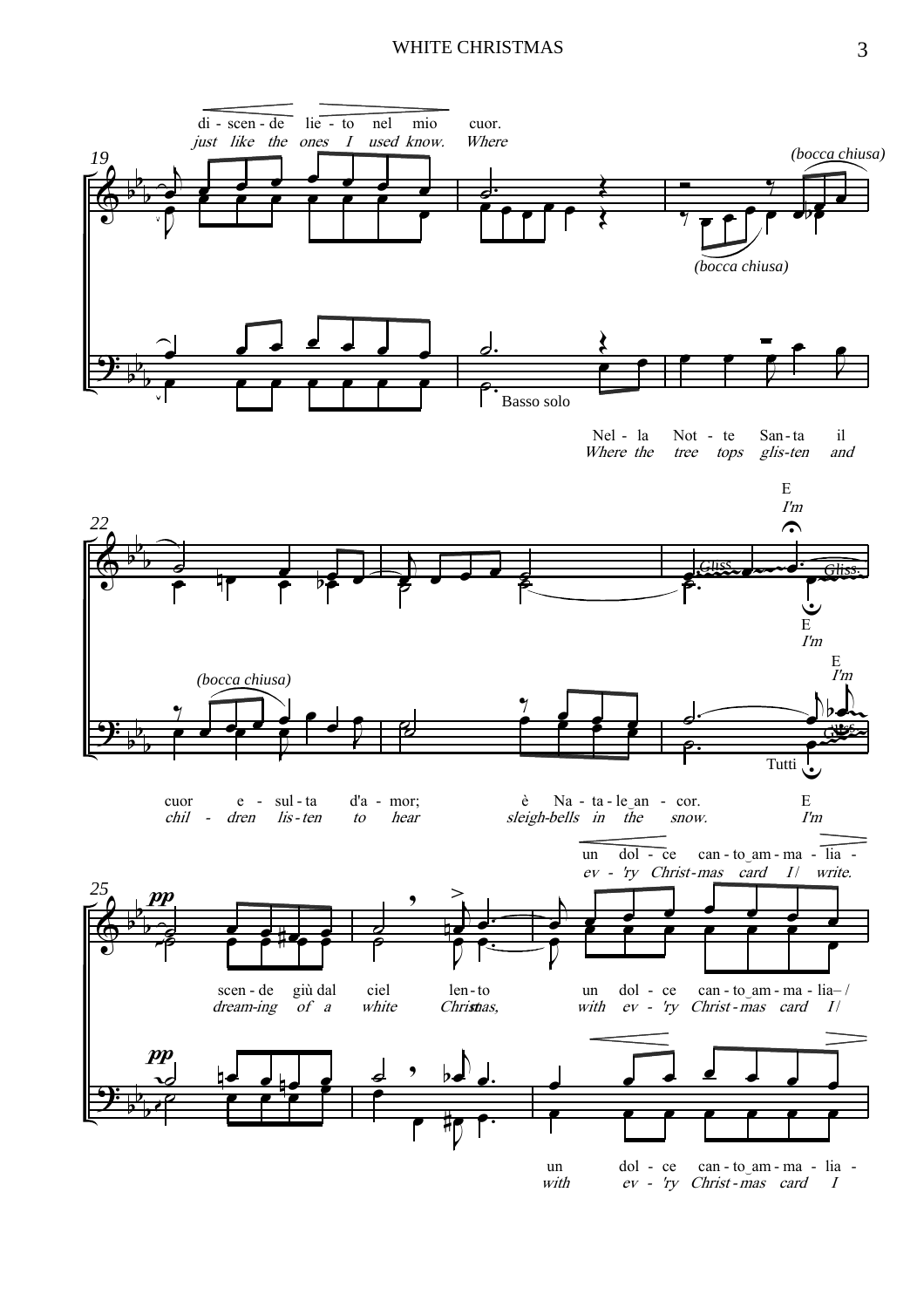## WHITE CHRISTMAS 3